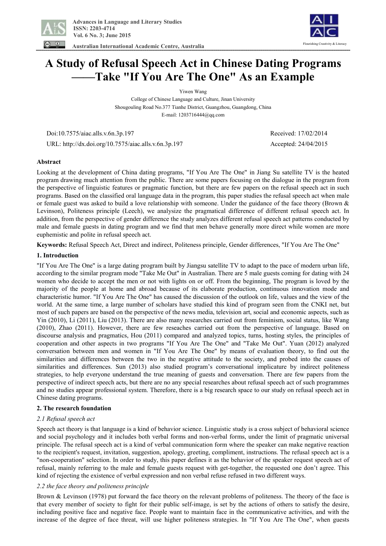

 **Australian International Academic Centre, Australia** 



# **A Study of Refusal Speech Act in Chinese Dating Programs ——Take "If You Are The One" As an Example**

Yiwen Wang

College of Chinese Language and Culture, Jinan University Shougouling Road No.377 Tianhe District, Guangzhou, Guangdong, China E-mail: 1203716444@qq.com

Doi:10.7575/aiac.alls.v.6n.3p.197 Received: 17/02/2014

URL: http://dx.doi.org/10.7575/aiac.alls.v.6n.3p.197 Accepted: 24/04/2015

**Abstract** 

Looking at the development of China dating programs, "If You Are The One" in Jiang Su satellite TV is the heated program drawing much attention from the public. There are some papers focusing on the dialogue in the program from the perspective of linguistic features or pragmatic function, but there are few papers on the refusal speech act in such programs. Based on the classified oral language data in the program, this paper studies the refusal speech act when male or female guest was asked to build a love relationship with someone. Under the guidance of the face theory (Brown & Levinson), Politeness principle (Leech), we analysize the pragmatical difference of different refusal speech act. In addition, from the perspective of gender difference the study analyzes different refusal speech act patterns conducted by male and female guests in dating program and we find that men behave generally more direct while women are more euphemistic and polite in refusal speech act.

**Keywords:** Refusal Speech Act, Direct and indirect, Politeness principle, Gender differences, "If You Are The One"

# **1. Introduction**

"If You Are The One" is a large dating program built by Jiangsu satellite TV to adapt to the pace of modern urban life, according to the similar program mode "Take Me Out" in Australian. There are 5 male guests coming for dating with 24 women who decide to accept the men or not with lights on or off. From the beginning, The program is loved by the majority of the people at home and abroad because of its elaborate production, continuous innovation mode and characteristic humor. "If You Are The One" has caused the discussion of the outlook on life, values and the view of the world. At the same time, a large number of scholars have studied this kind of program seen from the CNKI net, but most of such papers are based on the perspective of the news media, television art, social and economic aspects, such as Yin (2010), Li (2011), Liu (2013). There are also many researches carried out from feminism, social status, like Wang (2010), Zhao (2011). However, there are few reseaches carried out from the perspective of language. Based on discourse analysis and pragmatics, Hou (2011) compared and analyzed topics, turns, hosting styles, the principles of cooperation and other aspects in two programs "If You Are The One" and "Take Me Out". Yuan (2012) analyzed conversation between men and women in "If You Are The One" by means of evaluation theory, to find out the similarities and differences between the two in the negative attitude to the society, and probed into the causes of similarities and differences. Sun (2013) also studied program's conversational implicature by indirect politeness strategies, to help everyone understand the true meaning of guests and conversation. There are few papers from the perspective of indirect speech acts, but there are no any special researches about refusal speech act of such programmes and no studies appear professional system. Therefore, there is a big research space to our study on refusal speech act in Chinese dating programs.

# **2. The research foundation**

# *2.1 Refusal speech act*

Speech act theory is that language is a kind of behavior science. Linguistic study is a cross subject of behavioral science and social psychology and it includes both verbal forms and non-verbal forms, under the limit of pragmatic universal principle. The refusal speech act is a kind of verbal communication form where the speaker can make negative reaction to the recipient's request, invitation, suggestion, apology, greeting, compliment, instructions. The refusal speech act is a "non-cooperation" selection. In order to study, this paper defines it as the behavior of the speaker request speech act of refusal, mainly referring to the male and female guests request with get-together, the requested one don't agree. This kind of rejecting the existence of verbal expression and non verbal refuse refused in two different ways.

# *2.2 the face theory and politeness principle*

Brown & Levinson (1978) put forward the face theory on the relevant problems of politeness. The theory of the face is that every member of society to fight for their public self-image, is set by the actions of others to satisfy the desire, including positive face and negative face. People want to maintain face in the communicative activities, and with the increase of the degree of face threat, will use higher politeness strategies. In "If You Are The One", when guests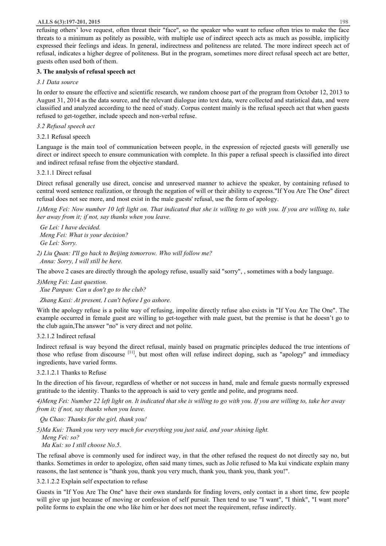### **ALLS 6(3):197-201, 2015** 198

refusing others' love request, often threat their "face", so the speaker who want to refuse often tries to make the face threats to a minimum as politely as possible, with multiple use of indirect speech acts as much as possible, implicitly expressed their feelings and ideas. In general, indirectness and politeness are related. The more indirect speech act of refusal, indicates a higher degree of politeness. But in the program, sometimes more direct refusal speech act are better, guests often used both of them.

## **3. The analysis of refusal speech act**

## *3.1 Data source*

In order to ensure the effective and scientific research, we random choose part of the program from October 12, 2013 to August 31, 2014 as the data source, and the relevant dialogue into text data, were collected and statistical data, and were classified and analyzed according to the need of study. Corpus content mainly is the refusal speech act that when guests refused to get-together, include speech and non-verbal refuse.

## *3.2 Refusal speech act*

## 3.2.1 Refusal speech

Language is the main tool of communication between people, in the expression of rejected guests will generally use direct or indirect speech to ensure communication with complete. In this paper a refusal speech is classified into direct and indirect refusal refuse from the objective standard.

## 3.2.1.1 Direct refusal

Direct refusal generally use direct, concise and unreserved manner to achieve the speaker, by containing refused to central word sentence realization, or through the negation of will or their ability to express."If You Are The One" direct refusal does not see more, and most exist in the male guests' refusal, use the form of apology.

1) Meng Fei: Now number 10 left light on. That indicated that she is willing to go with you. If you are willing to, take *her away from it; if not, say thanks when you leave.* 

 *Ge Lei: I have decided. Meng Fei: What is your decision? Ge Lei: Sorry.* 

*2) Liu Quan: I'll go back to Beijing tomorrow. Who will follow me? Anna: Sorry, I will still be here.* 

The above 2 cases are directly through the apology refuse, usually said "sorry", , sometimes with a body language.

*3)Meng Fei: Last question. Xue Panpan: Can u don't go to the club?* 

 *Zhang Kaxi: At present, I can't before I go ashore.* 

With the apology refuse is a polite way of refusing, impolite directly refuse also exists in "If You Are The One". The example occurred in female guest are willing to get-together with male guest, but the premise is that he doesn't go to the club again,The answer "no" is very direct and not polite.

# 3.2.1.2 Indirect refusal

Indirect refusal is way beyond the direct refusal, mainly based on pragmatic principles deduced the true intentions of those who refuse from discourse [11], but most often will refuse indirect doping, such as "apology" and immediacy ingredients, have varied forms.

# 3.2.1.2.1 Thanks to Refuse

In the direction of his favour, regardless of whether or not success in hand, male and female guests normally expressed gratitude to the identity. Thanks to the approach is said to very gentle and polite, and programs need.

4) Meng Fei: Number 22 left light on. It indicated that she is willing to go with you. If you are willing to, take her away *from it; if not, say thanks when you leave.*

 *Qu Chao: Thanks for the girl, thank you!* 

*5)Ma Kui: Thank you very very much for everything you just said, and your shining light.* 

 *Meng Fei: so? Ma Kui: so I still choose No.5.* 

The refusal above is commonly used for indirect way, in that the other refused the request do not directly say no, but thanks. Sometimes in order to apologize, often said many times, such as Jolie refused to Ma kui vindicate explain many reasons, the last sentence is "thank you, thank you very much, thank you, thank you, thank you!".

3.2.1.2.2 Explain self expectation to refuse

Guests in "If You Are The One" have their own standards for finding lovers, only contact in a short time, few people will give up just because of moving or confession of self pursuit. Then tend to use "I want", "I think", "I want more" polite forms to explain the one who like him or her does not meet the requirement, refuse indirectly.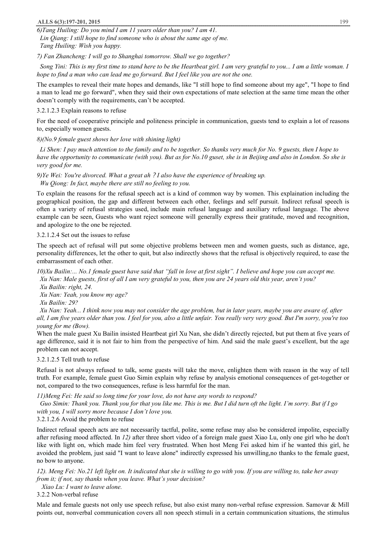#### **ALLS 6(3):197-201, 2015** 199

*6)Tang Huiling: Do you mind I am 11 years older than you? I am 41.* 

 *Lin Qiang: I still hope to find someone who is about the same age of me. Tang Huiling: Wish you happy.* 

*7) Fan Zhancheng: I will go to Shanghai tomorrow. Shall we go together?* 

Song Yini: This is my first time to stand here to be the Heartbeat girl. I am very grateful to you... I am a little woman. I *hope to find a man who can lead me go forward. But I feel like you are not the one.* 

The examples to reveal their mate hopes and demands, like "I still hope to find someone about my age", "I hope to find a man to lead me go forward", when they said their own expectations of mate selection at the same time mean the other doesn't comply with the requirements, can't be accepted.

#### 3.2.1.2.3 Explain reasons to refuse

For the need of cooperative principle and politeness principle in communication, guests tend to explain a lot of reasons to, especially women guests.

## *8)(No.9 female guest shows her love with shining light)*

Li Shen: I pay much attention to the family and to be together. So thanks very much for No. 9 guests, then I hope to have the opportunity to communicate (with you). But as for No.10 guset, she is in Beijing and also in London. So she is *very good for me.* 

*9)Ye Wei: You're divorced. What a great ah?I also have the experience of breaking up. Wu Qiong: In fact, maybe there are still no feeling to you.*

To explain the reasons for the refusal speech act is a kind of common way by women. This explaination including the geographical position, the gap and different between each other, feelings and self pursuit. Indirect refusal speech is often a variety of refusal strategies used, include main refusal language and auxiliary refusal language. The above example can be seen, Guests who want reject someone will generally express their gratitude, moved and recognition, and apologize to the one be rejected.

#### 3.2.1.2.4 Set out the issues to refuse

The speech act of refusal will put some objective problems between men and women guests, such as distance, age, personality differences, let the other to quit, but also indirectly shows that the refusal is objectively required, to ease the embarrassment of each other.

10) Xu Bailin:... No. 1 female guest have said that "fall in love at first sight". I believe and hope you can accept me. Xu Nan: Male guests, first of all I am very grateful to you, then you are 24 years old this year, aren't you?

 *Xu Bailin: right, 24.* 

 *Xu Nan: Yeah, you know my age?* 

 *Xu Bailin: 29?* 

Xu Nan: Yeah... I think now you may not consider the age problem, but in later years, maybe you are aware of, after all, I am five years older than you. I feel for you, also a little unfair. You really very very good. But I'm sorry, you're too *young for me (Bow).* 

When the male guest Xu Bailin insisted Heartbeat girl Xu Nan, she didn't directly rejected, but put them at five years of age difference, said it is not fair to him from the perspective of him. And said the male guest's excellent, but the age problem can not accept.

## 3.2.1.2.5 Tell truth to refuse

Refusal is not always refused to talk, some guests will take the move, enlighten them with reason in the way of tell truth. For example, female guest Guo Simin explain why refuse by analysis emotional consequences of get-together or not, compared to the two consequences, refuse is less harmful for the man.

*11)Meng Fei: He said so long time for your love, do not have any words to respond?* 

Guo Simin: Thank you. Thank you for that you like me. This is me. But I did turn oft the light. I'm sorry. But if I go *with you, I will sorry more because I don't love you.* 

3.2.1.2.6 Avoid the problem to refuse

Indirect refusal speech acts are not necessarily tactful, polite, some refuse may also be considered impolite, especially after refusing mood affected. In *12)* after three short video of a foreign male guest Xiao Lu, only one girl who he don't like with light on, which made him feel very frustrated. When host Meng Fei asked him if he wanted this girl, he avoided the problem, just said "I want to leave alone" indirectly expressed his unwilling,no thanks to the female guest, no bow to anyone.

12). Meng Fei: No.21 left light on. It indicated that she is willing to go with you. If you are willing to, take her away *from it; if not, say thanks when you leave. What's your decision?* 

 *Xiao Lu: I want to leave alone.*

3.2.2 Non-verbal refuse

Male and female guests not only use speech refuse, but also exist many non-verbal refuse expression. Samovar & Mill points out, nonverbal communication covers all non speech stimuli in a certain communication situations, the stimulus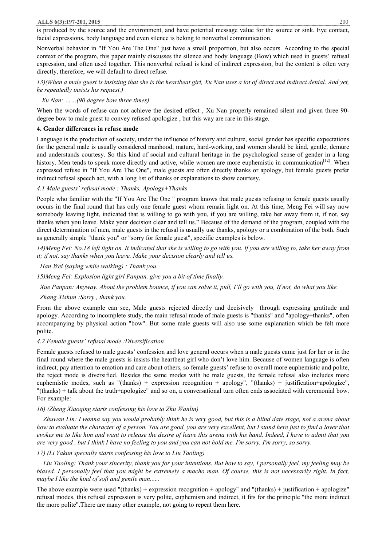#### **ALLS 6(3):197-201, 2015** 200

is produced by the source and the environment, and have potential message value for the source or sink. Eye contact, facial expressions, body language and even silence is belong to nonverbal communication.

Nonverbal behavior in "If You Are The One" just have a small proportion, but also occurs. According to the special context of the program, this paper mainly discusses the silence and body language (Bow) which used in guests' refusal expression, and often used together. This nonverbal refusal is kind of indirect expression, but the content is often very directly, therefore, we will default to direct refuse.

13)(When a male guest is insisting that she is the heartbeat girl, Xu Nan uses a lot of direct and indirect denial. And yet, *he repeatedly insists his request.)* 

## *Xu Nan: ……(90 degree bow three times)*

When the words of refuse can not achieve the desired effect, Xu Nan properly remained silent and given three 90degree bow to male guest to convey refused apologize , but this way are rare in this stage.

#### **4. Gender differences in refuse mode**

Language is the production of society, under the influence of history and culture, social gender has specific expectations for the general male is usually considered manhood, mature, hard-working, and women should be kind, gentle, demure and understands courtesy. So this kind of social and cultural heritage in the psychological sense of gender in a long history. Men tends to speak more directly and active, while women are more euphemistic in communication<sup>[12]</sup>. When expressed refuse in "If You Are The One", male guests are often directly thanks or apology, but female guests prefer indirect refusal speech act, with a long list of thanks or explanations to show courtesy.

## *4.1 Male guests' refusal mode : Thanks, Apology+Thanks*

People who familiar with the "If You Are The One " program knows that male guests refusing to female guests usually occurs in the final round that has only one female guest whom remain light on. At this time, Meng Fei will say now somebody leaving light, indicated that is willing to go with you, if you are willing, take her away from it, if not, say thanks when you leave. Make your decision clear and tell us." Because of the demand of the program, coupled with the direct determination of men, male guests in the refusal is usually use thanks, apology or a combination of the both. Such as generally simple "thank you" or "sorry for female guest", specific examples is below.

14) Meng Fei: No.18 left light on. It indicated that she is willing to go with you. If you are willing to, take her away from *it; if not, say thanks when you leave. Make your decision clearly and tell us.* 

 *Han Wei (saying while walking) : Thank you.* 

*15)Meng Fei: Explosion light girl Panpan, give you a bit of time finally.* 

Xue Panpan: Anyway. About the problem bounce, if you can solve it, pull, I'll go with you, If not, do what you like.

#### *Zhang Xishun :Sorry , thank you.*

From the above example can see, Male guests rejected directly and decisively through expressing gratitude and apology. According to incomplete study, the main refusal mode of male guests is "thanks" and "apology+thanks", often accompanying by physical action "bow". But some male guests will also use some explanation which be felt more polite.

#### *4.2 Female guests' refusal mode :Diversification*

Female guests refused to male guests' confession and love general occurs when a male guests came just for her or in the final round where the male guests is insists the heartbeat girl who don't love him. Because of women language is often indirect, pay attention to emotion and care about others, so female guests' refuse to overall more euphemistic and polite, the reject mode is diversified. Besides the same modes with he male guests, the female refusal also includes more euphemistic modes, such as "(thanks) + expression recognition + apology", "(thanks) + justification+apologize", "(thanks) + talk about the truth+apologize" and so on, a conversational turn often ends associated with ceremonial bow. For example:

#### *16) (Zheng Xiaoqing starts confessing his love to Zhu Wanlin)*

Zhuwan Lin: I wanna say you would probably think he is very good, but this is a blind date stage, not a arena about how to evaluate the character of a person. You are good, you are very excellent, but I stand here just to find a lover that evokes me to like him and want to release the desire of leave this arena with his hand. Indeed, I have to admit that you are very good, but I think I have no feeling to you and you can not hold me. I'm sorry, I'm sorry, so sorry.

*17) (Li Yakun specially starts confessing his love to Liu Taoling)* 

Liu Taoling: Thank your sincerity, thank you for your intentions. But how to say, I personally feel, my feeling may be biased. I personally feel that you might be extremely a macho man. Of course, this is not necessarily right. In fact, *maybe I like the kind of soft and gentle man......* 

The above example were used "(thanks) + expression recognition + apology" and "(thanks) + justification + apologize" refusal modes, this refusal expression is very polite, euphemism and indirect, it fits for the principle "the more indirect the more polite".There are many other example, not going to repeat them here.